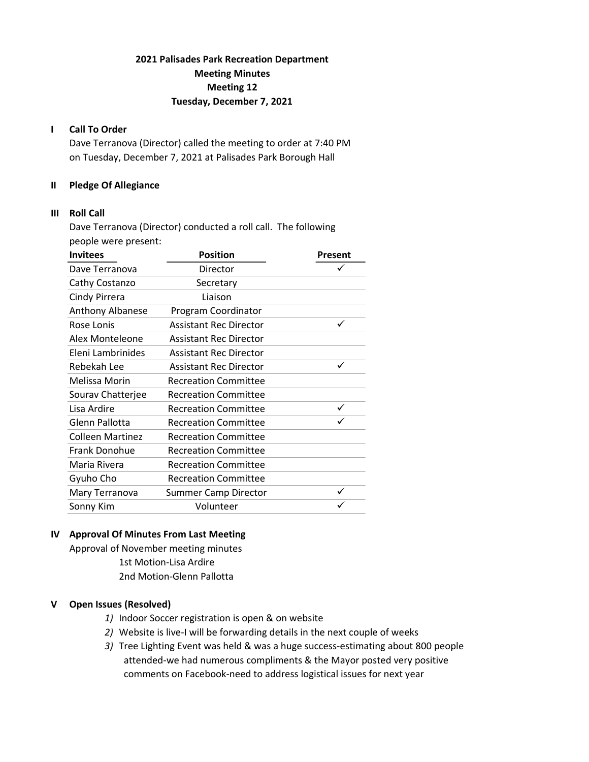# 2021 Palisades Park Recreation Department Meeting Minutes Meeting 12 Tuesday, December 7, 2021

### I Call To Order

Dave Terranova (Director) called the meeting to order at 7:40 PM on Tuesday, December 7, 2021 at Palisades Park Borough Hall

### II Pledge Of Allegiance

#### III Roll Call

Dave Terranova (Director) conducted a roll call. The following people were present:

| <b>Position</b><br>Present    |   |
|-------------------------------|---|
| Director                      |   |
| Secretary                     |   |
| Liaison                       |   |
| Program Coordinator           |   |
| <b>Assistant Rec Director</b> |   |
| <b>Assistant Rec Director</b> |   |
| <b>Assistant Rec Director</b> |   |
| <b>Assistant Rec Director</b> | ✓ |
| <b>Recreation Committee</b>   |   |
| <b>Recreation Committee</b>   |   |
| <b>Recreation Committee</b>   |   |
| <b>Recreation Committee</b>   |   |
| <b>Recreation Committee</b>   |   |
| <b>Recreation Committee</b>   |   |
| <b>Recreation Committee</b>   |   |
| <b>Recreation Committee</b>   |   |
| <b>Summer Camp Director</b>   | ✓ |
| Volunteer                     |   |
|                               |   |

# IV Approval Of Minutes From Last Meeting

Approval of November meeting minutes 1st Motion-Lisa Ardire 2nd Motion-Glenn Pallotta

## V Open Issues (Resolved)

- 1) Indoor Soccer registration is open & on website
- 2) Website is live-I will be forwarding details in the next couple of weeks
- 3) Tree Lighting Event was held & was a huge success-estimating about 800 people attended-we had numerous compliments & the Mayor posted very positive comments on Facebook-need to address logistical issues for next year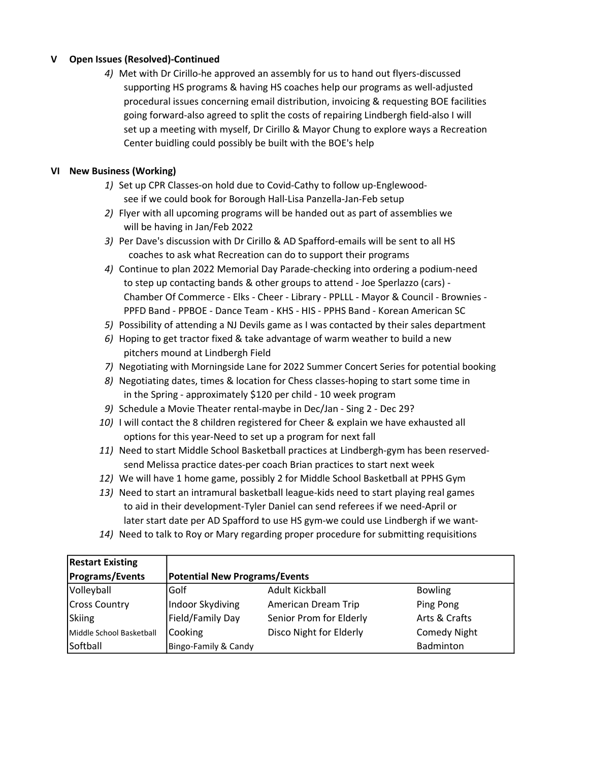# V Open Issues (Resolved)-Continued

4) Met with Dr Cirillo-he approved an assembly for us to hand out flyers-discussed supporting HS programs & having HS coaches help our programs as well-adjusted procedural issues concerning email distribution, invoicing & requesting BOE facilities going forward-also agreed to split the costs of repairing Lindbergh field-also I will set up a meeting with myself, Dr Cirillo & Mayor Chung to explore ways a Recreation Center buidling could possibly be built with the BOE's help

# VI New Business (Working)

- 1) Set up CPR Classes-on hold due to Covid-Cathy to follow up-Englewood see if we could book for Borough Hall-Lisa Panzella-Jan-Feb setup
- 2) Flyer with all upcoming programs will be handed out as part of assemblies we will be having in Jan/Feb 2022
- 3) Per Dave's discussion with Dr Cirillo & AD Spafford-emails will be sent to all HS coaches to ask what Recreation can do to support their programs
- 4) Continue to plan 2022 Memorial Day Parade-checking into ordering a podium-need to step up contacting bands & other groups to attend - Joe Sperlazzo (cars) - Chamber Of Commerce - Elks - Cheer - Library - PPLLL - Mayor & Council - Brownies - PPFD Band - PPBOE - Dance Team - KHS - HIS - PPHS Band - Korean American SC
- 5) Possibility of attending a NJ Devils game as I was contacted by their sales department
- 6) Hoping to get tractor fixed & take advantage of warm weather to build a new pitchers mound at Lindbergh Field
- 7) Negotiating with Morningside Lane for 2022 Summer Concert Series for potential booking
- 8) Negotiating dates, times & location for Chess classes-hoping to start some time in in the Spring - approximately \$120 per child - 10 week program
- 9) Schedule a Movie Theater rental-maybe in Dec/Jan Sing 2 Dec 29?
- 10) I will contact the 8 children registered for Cheer & explain we have exhausted all options for this year-Need to set up a program for next fall
- 11) Need to start Middle School Basketball practices at Lindbergh-gym has been reserved send Melissa practice dates-per coach Brian practices to start next week
- 12) We will have 1 home game, possibly 2 for Middle School Basketball at PPHS Gym
- 13) Need to start an intramural basketball league-kids need to start playing real games to aid in their development-Tyler Daniel can send referees if we need-April or later start date per AD Spafford to use HS gym-we could use Lindbergh if we want-
- 14) Need to talk to Roy or Mary regarding proper procedure for submitting requisitions

| <b>Restart Existing</b>  |                                      |                         |                     |
|--------------------------|--------------------------------------|-------------------------|---------------------|
| <b>Programs/Events</b>   | <b>Potential New Programs/Events</b> |                         |                     |
| Volleyball               | Golf                                 | Adult Kickball          | <b>Bowling</b>      |
| <b>Cross Country</b>     | Indoor Skydiving                     | American Dream Trip     | Ping Pong           |
| Skiing                   | Field/Family Day                     | Senior Prom for Elderly | Arts & Crafts       |
| Middle School Basketball | Cooking                              | Disco Night for Elderly | <b>Comedy Night</b> |
| Softball                 | Bingo-Family & Candy                 |                         | Badminton           |